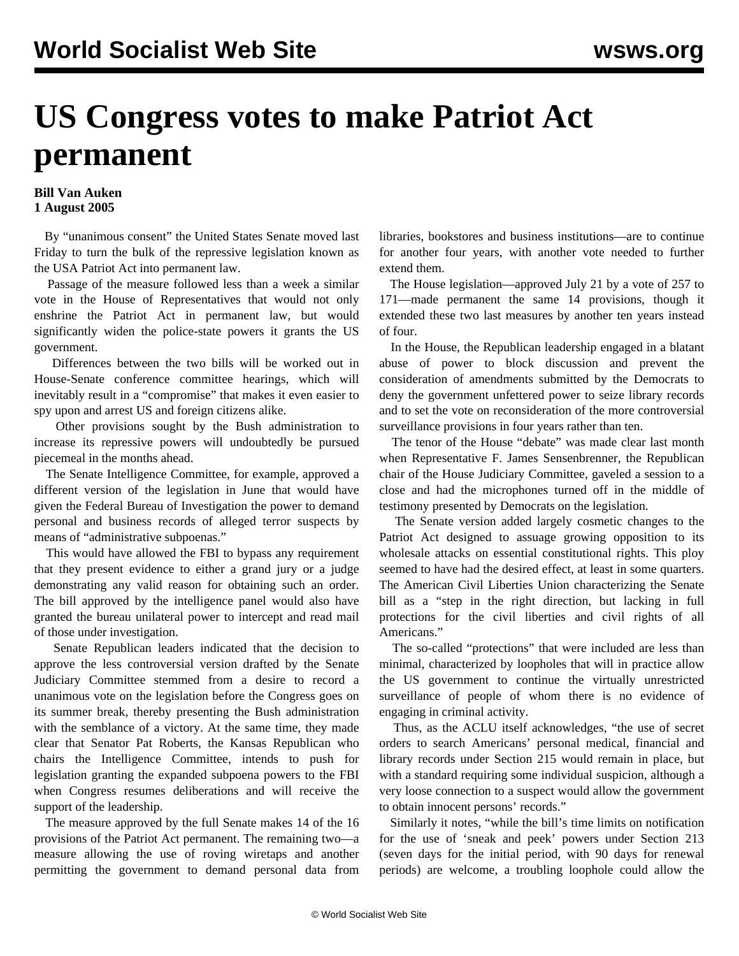## **US Congress votes to make Patriot Act permanent**

## **Bill Van Auken 1 August 2005**

 By "unanimous consent" the United States Senate moved last Friday to turn the bulk of the repressive legislation known as the USA Patriot Act into permanent law.

 Passage of the measure followed less than a week a similar vote in the House of Representatives that would not only enshrine the Patriot Act in permanent law, but would significantly widen the police-state powers it grants the US government.

 Differences between the two bills will be worked out in House-Senate conference committee hearings, which will inevitably result in a "compromise" that makes it even easier to spy upon and arrest US and foreign citizens alike.

 Other provisions sought by the Bush administration to increase its repressive powers will undoubtedly be pursued piecemeal in the months ahead.

 The Senate Intelligence Committee, for example, approved a different version of the legislation in June that would have given the Federal Bureau of Investigation the power to demand personal and business records of alleged terror suspects by means of "administrative subpoenas."

 This would have allowed the FBI to bypass any requirement that they present evidence to either a grand jury or a judge demonstrating any valid reason for obtaining such an order. The bill approved by the intelligence panel would also have granted the bureau unilateral power to intercept and read mail of those under investigation.

 Senate Republican leaders indicated that the decision to approve the less controversial version drafted by the Senate Judiciary Committee stemmed from a desire to record a unanimous vote on the legislation before the Congress goes on its summer break, thereby presenting the Bush administration with the semblance of a victory. At the same time, they made clear that Senator Pat Roberts, the Kansas Republican who chairs the Intelligence Committee, intends to push for legislation granting the expanded subpoena powers to the FBI when Congress resumes deliberations and will receive the support of the leadership.

 The measure approved by the full Senate makes 14 of the 16 provisions of the Patriot Act permanent. The remaining two—a measure allowing the use of roving wiretaps and another permitting the government to demand personal data from libraries, bookstores and business institutions—are to continue for another four years, with another vote needed to further extend them.

 The House legislation—approved July 21 by a vote of 257 to 171—made permanent the same 14 provisions, though it extended these two last measures by another ten years instead of four.

 In the House, the Republican leadership engaged in a blatant abuse of power to block discussion and prevent the consideration of amendments submitted by the Democrats to deny the government unfettered power to seize library records and to set the vote on reconsideration of the more controversial surveillance provisions in four years rather than ten.

 The tenor of the House "debate" was made clear last month when Representative F. James Sensenbrenner, the Republican chair of the House Judiciary Committee, gaveled a session to a close and had the microphones turned off in the middle of testimony presented by Democrats on the legislation.

 The Senate version added largely cosmetic changes to the Patriot Act designed to assuage growing opposition to its wholesale attacks on essential constitutional rights. This ploy seemed to have had the desired effect, at least in some quarters. The American Civil Liberties Union characterizing the Senate bill as a "step in the right direction, but lacking in full protections for the civil liberties and civil rights of all Americans."

 The so-called "protections" that were included are less than minimal, characterized by loopholes that will in practice allow the US government to continue the virtually unrestricted surveillance of people of whom there is no evidence of engaging in criminal activity.

 Thus, as the ACLU itself acknowledges, "the use of secret orders to search Americans' personal medical, financial and library records under Section 215 would remain in place, but with a standard requiring some individual suspicion, although a very loose connection to a suspect would allow the government to obtain innocent persons' records."

 Similarly it notes, "while the bill's time limits on notification for the use of 'sneak and peek' powers under Section 213 (seven days for the initial period, with 90 days for renewal periods) are welcome, a troubling loophole could allow the